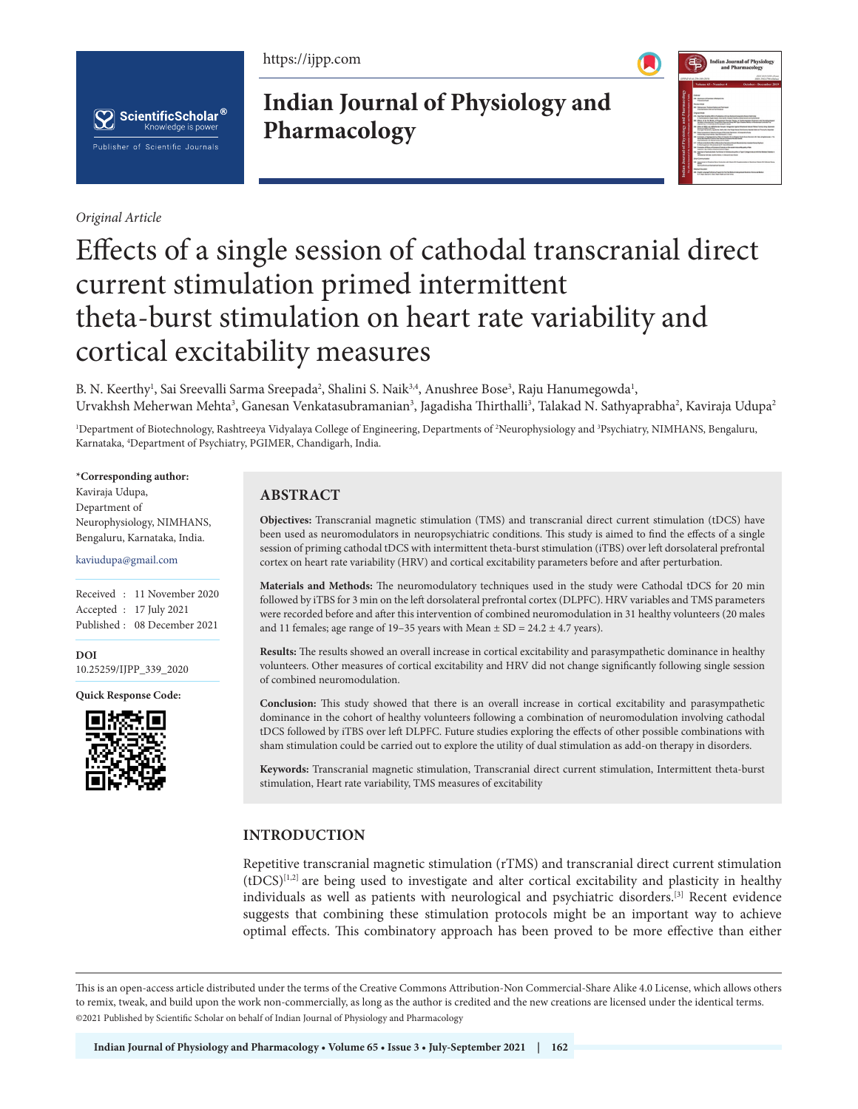https://ijpp.com



*Original Article*

**Indian Journal of Physiology and Pharmacology**



# Effects of a single session of cathodal transcranial direct current stimulation primed intermittent theta-burst stimulation on heart rate variability and cortical excitability measures

B. N. Keerthy<sup>1</sup>, Sai Sreevalli Sarma Sreepada<sup>2</sup>, Shalini S. Naik<sup>3,4</sup>, Anushree Bose<sup>3</sup>, Raju Hanumegowda<sup>1</sup>, Urvakhsh Meherwan Mehta<sup>3</sup>, Ganesan Venkatasubramanian<sup>3</sup>, Jagadisha Thirthalli<sup>3</sup>, Talakad N. Sathyaprabha<sup>2</sup>, Kaviraja Udupa<sup>2</sup>

<sup>1</sup>Department of Biotechnology, Rashtreeya Vidyalaya College of Engineering, Departments of <sup>2</sup>Neurophysiology and <sup>3</sup>Psychiatry, NIMHANS, Bengaluru, Karnataka, <sup>4</sup>Department of Psychiatry, PGIMER, Chandigarh, India.

#### **\*Corresponding author:**

Kaviraja Udupa, Department of Neurophysiology, NIMHANS, Bengaluru, Karnataka, India.

#### kaviudupa@gmail.com

Received : 11 November 2020 Accepted : 17 July 2021 Published : 08 December 2021

**DOI** [10.25259/IJPP\\_339\\_2020](https://dx.doi.org/10.25259/IJPP_339_2020)

**Quick Response Code:**



## **ABSTRACT**

**Objectives:** Transcranial magnetic stimulation (TMS) and transcranial direct current stimulation (tDCS) have been used as neuromodulators in neuropsychiatric conditions. This study is aimed to find the effects of a single session of priming cathodal tDCS with intermittent theta-burst stimulation (iTBS) over left dorsolateral prefrontal cortex on heart rate variability (HRV) and cortical excitability parameters before and after perturbation.

**Materials and Methods:** The neuromodulatory techniques used in the study were Cathodal tDCS for 20 min followed by iTBS for 3 min on the left dorsolateral prefrontal cortex (DLPFC). HRV variables and TMS parameters were recorded before and after this intervention of combined neuromodulation in 31 healthy volunteers (20 males and 11 females; age range of 19–35 years with Mean  $\pm$  SD = 24.2  $\pm$  4.7 years).

**Results:** The results showed an overall increase in cortical excitability and parasympathetic dominance in healthy volunteers. Other measures of cortical excitability and HRV did not change significantly following single session of combined neuromodulation.

**Conclusion:** This study showed that there is an overall increase in cortical excitability and parasympathetic dominance in the cohort of healthy volunteers following a combination of neuromodulation involving cathodal tDCS followed by iTBS over left DLPFC. Future studies exploring the effects of other possible combinations with sham stimulation could be carried out to explore the utility of dual stimulation as add-on therapy in disorders.

**Keywords:** Transcranial magnetic stimulation, Transcranial direct current stimulation, Intermittent theta-burst stimulation, Heart rate variability, TMS measures of excitability

## **INTRODUCTION**

Repetitive transcranial magnetic stimulation (rTMS) and transcranial direct current stimulation  $(tDCS)^{[1,2]}$  are being used to investigate and alter cortical excitability and plasticity in healthy individuals as well as patients with neurological and psychiatric disorders.[3] Recent evidence suggests that combining these stimulation protocols might be an important way to achieve optimal effects. This combinatory approach has been proved to be more effective than either

This is an open-access article distributed under the terms of the Creative Commons Attribution-Non Commercial-Share Alike 4.0 License, which allows others to remix, tweak, and build upon the work non-commercially, as long as the author is credited and the new creations are licensed under the identical terms. ©2021 Published by Scientific Scholar on behalf of Indian Journal of Physiology and Pharmacology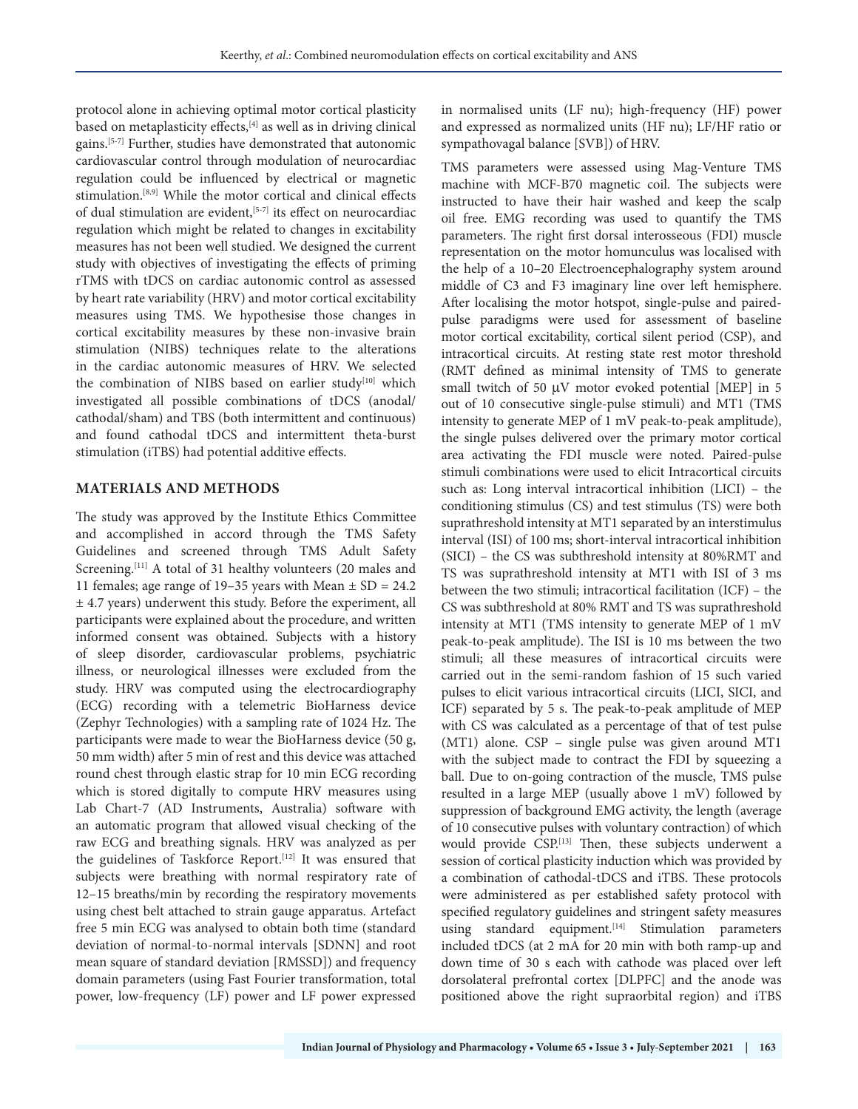protocol alone in achieving optimal motor cortical plasticity based on metaplasticity effects,<sup>[4]</sup> as well as in driving clinical gains.[5-7] Further, studies have demonstrated that autonomic cardiovascular control through modulation of neurocardiac regulation could be influenced by electrical or magnetic stimulation.[8,9] While the motor cortical and clinical effects of dual stimulation are evident,<sup>[5-7]</sup> its effect on neurocardiac regulation which might be related to changes in excitability measures has not been well studied. We designed the current study with objectives of investigating the effects of priming rTMS with tDCS on cardiac autonomic control as assessed by heart rate variability (HRV) and motor cortical excitability measures using TMS. We hypothesise those changes in cortical excitability measures by these non-invasive brain stimulation (NIBS) techniques relate to the alterations in the cardiac autonomic measures of HRV. We selected the combination of NIBS based on earlier study<sup>[10]</sup> which investigated all possible combinations of tDCS (anodal/ cathodal/sham) and TBS (both intermittent and continuous) and found cathodal tDCS and intermittent theta-burst stimulation (iTBS) had potential additive effects.

## **MATERIALS AND METHODS**

The study was approved by the Institute Ethics Committee and accomplished in accord through the TMS Safety Guidelines and screened through TMS Adult Safety Screening.<sup>[11]</sup> A total of 31 healthy volunteers (20 males and 11 females; age range of 19–35 years with Mean  $\pm$  SD = 24.2 ± 4.7 years) underwent this study. Before the experiment, all participants were explained about the procedure, and written informed consent was obtained. Subjects with a history of sleep disorder, cardiovascular problems, psychiatric illness, or neurological illnesses were excluded from the study. HRV was computed using the electrocardiography (ECG) recording with a telemetric BioHarness device (Zephyr Technologies) with a sampling rate of 1024 Hz. The participants were made to wear the BioHarness device (50 g, 50 mm width) after 5 min of rest and this device was attached round chest through elastic strap for 10 min ECG recording which is stored digitally to compute HRV measures using Lab Chart-7 (AD Instruments, Australia) software with an automatic program that allowed visual checking of the raw ECG and breathing signals. HRV was analyzed as per the guidelines of Taskforce Report.<sup>[12]</sup> It was ensured that subjects were breathing with normal respiratory rate of 12–15 breaths/min by recording the respiratory movements using chest belt attached to strain gauge apparatus. Artefact free 5 min ECG was analysed to obtain both time (standard deviation of normal-to-normal intervals [SDNN] and root mean square of standard deviation [RMSSD]) and frequency domain parameters (using Fast Fourier transformation, total power, low-frequency (LF) power and LF power expressed

in normalised units (LF nu); high-frequency (HF) power and expressed as normalized units (HF nu); LF/HF ratio or sympathovagal balance [SVB]) of HRV.

TMS parameters were assessed using Mag-Venture TMS machine with MCF-B70 magnetic coil. The subjects were instructed to have their hair washed and keep the scalp oil free. EMG recording was used to quantify the TMS parameters. The right first dorsal interosseous (FDI) muscle representation on the motor homunculus was localised with the help of a 10–20 Electroencephalography system around middle of C3 and F3 imaginary line over left hemisphere. After localising the motor hotspot, single-pulse and pairedpulse paradigms were used for assessment of baseline motor cortical excitability, cortical silent period (CSP), and intracortical circuits. At resting state rest motor threshold (RMT defined as minimal intensity of TMS to generate small twitch of 50  $\mu$ V motor evoked potential [MEP] in 5 out of 10 consecutive single-pulse stimuli) and MT1 (TMS intensity to generate MEP of 1 mV peak-to-peak amplitude), the single pulses delivered over the primary motor cortical area activating the FDI muscle were noted. Paired-pulse stimuli combinations were used to elicit Intracortical circuits such as: Long interval intracortical inhibition (LICI) – the conditioning stimulus (CS) and test stimulus (TS) were both suprathreshold intensity at MT1 separated by an interstimulus interval (ISI) of 100 ms; short-interval intracortical inhibition (SICI) – the CS was subthreshold intensity at 80%RMT and TS was suprathreshold intensity at MT1 with ISI of 3 ms between the two stimuli; intracortical facilitation (ICF) – the CS was subthreshold at 80% RMT and TS was suprathreshold intensity at MT1 (TMS intensity to generate MEP of 1 mV peak-to-peak amplitude). The ISI is 10 ms between the two stimuli; all these measures of intracortical circuits were carried out in the semi-random fashion of 15 such varied pulses to elicit various intracortical circuits (LICI, SICI, and ICF) separated by 5 s. The peak-to-peak amplitude of MEP with CS was calculated as a percentage of that of test pulse (MT1) alone. CSP – single pulse was given around MT1 with the subject made to contract the FDI by squeezing a ball. Due to on-going contraction of the muscle, TMS pulse resulted in a large MEP (usually above 1 mV) followed by suppression of background EMG activity, the length (average of 10 consecutive pulses with voluntary contraction) of which would provide CSP.[13] Then, these subjects underwent a session of cortical plasticity induction which was provided by a combination of cathodal-tDCS and iTBS. These protocols were administered as per established safety protocol with specified regulatory guidelines and stringent safety measures using standard equipment.<sup>[14]</sup> Stimulation parameters included tDCS (at 2 mA for 20 min with both ramp-up and down time of 30 s each with cathode was placed over left dorsolateral prefrontal cortex [DLPFC] and the anode was positioned above the right supraorbital region) and iTBS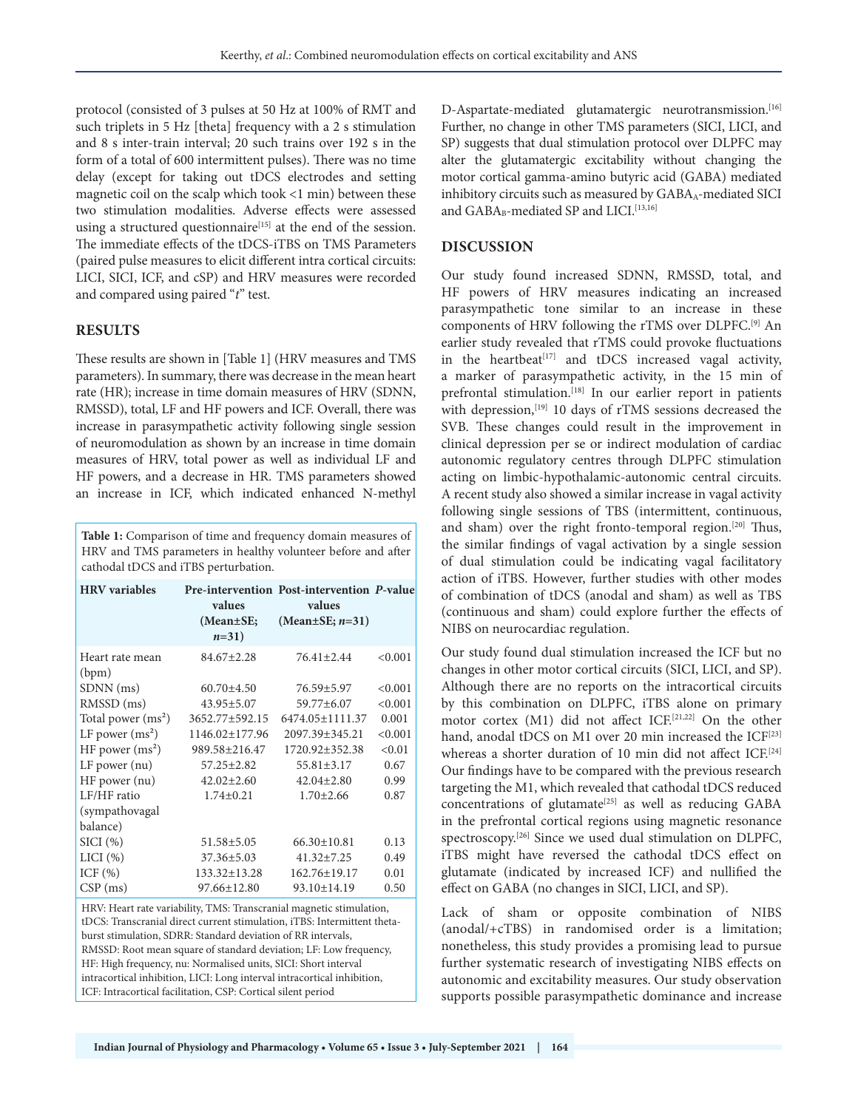protocol (consisted of 3 pulses at 50 Hz at 100% of RMT and such triplets in 5 Hz [theta] frequency with a 2 s stimulation and 8 s inter-train interval; 20 such trains over 192 s in the form of a total of 600 intermittent pulses). There was no time delay (except for taking out tDCS electrodes and setting magnetic coil on the scalp which took <1 min) between these two stimulation modalities. Adverse effects were assessed using a structured questionnaire<sup>[15]</sup> at the end of the session. The immediate effects of the tDCS-iTBS on TMS Parameters (paired pulse measures to elicit different intra cortical circuits: LICI, SICI, ICF, and cSP) and HRV measures were recorded and compared using paired "*t*" test.

## **RESULTS**

These results are shown in [Table 1] (HRV measures and TMS parameters). In summary, there was decrease in the mean heart rate (HR); increase in time domain measures of HRV (SDNN, RMSSD), total, LF and HF powers and ICF. Overall, there was increase in parasympathetic activity following single session of neuromodulation as shown by an increase in time domain measures of HRV, total power as well as individual LF and HF powers, and a decrease in HR. TMS parameters showed an increase in ICF, which indicated enhanced N-methyl

**Table 1:** Comparison of time and frequency domain measures of HRV and TMS parameters in healthy volunteer before and after cathodal tDCS and iTBS perturbation.

| values<br>(Mean±SE;<br>$n=31$ | values<br>(Mean $\pm$ SE; <i>n</i> =31) |                                            |
|-------------------------------|-----------------------------------------|--------------------------------------------|
| $84.67 \pm 2.28$              | 76.41±2.44                              | < 0.001                                    |
| $60.70 \pm 4.50$              | 76.59±5.97                              | < 0.001                                    |
| $43.95 \pm 5.07$              | 59.77±6.07                              | < 0.001                                    |
| 3652.77±592.15                | 6474.05 ± 1111.37                       | 0.001                                      |
| 1146.02 ± 177.96              | 2097.39±345.21                          | < 0.001                                    |
| 989.58±216.47                 | 1720.92 + 352.38                        | < 0.01                                     |
| $57.25 \pm 2.82$              | 55.81±3.17                              | 0.67                                       |
| $42.02 \pm 2.60$              | $42.04 \pm 2.80$                        | 0.99                                       |
| $1.74 \pm 0.21$               | $1.70 \pm 2.66$                         | 0.87                                       |
|                               |                                         |                                            |
|                               |                                         |                                            |
| $51.58 \pm 5.05$              | $66.30 \pm 10.81$                       | 0.13                                       |
| $37.36 \pm 5.03$              | $41.32 \pm 7.25$                        | 0.49                                       |
| $133.32 \pm 13.28$            | 162.76±19.17                            | 0.01                                       |
| 97.66±12.80                   | 93.10±14.19                             | 0.50                                       |
|                               |                                         | Pre-intervention Post-intervention P-value |

HRV: Heart rate variability, TMS: Transcranial magnetic stimulation, tDCS: Transcranial direct current stimulation, iTBS: Intermittent thetaburst stimulation, SDRR: Standard deviation of RR intervals, RMSSD: Root mean square of standard deviation; LF: Low frequency, HF: High frequency, nu: Normalised units, SICI: Short interval intracortical inhibition, LICI: Long interval intracortical inhibition, ICF: Intracortical facilitation, CSP: Cortical silent period

D-Aspartate-mediated glutamatergic neurotransmission.<sup>[16]</sup> Further, no change in other TMS parameters (SICI, LICI, and SP) suggests that dual stimulation protocol over DLPFC may alter the glutamatergic excitability without changing the motor cortical gamma-amino butyric acid (GABA) mediated inhibitory circuits such as measured by GABA<sub>A</sub>-mediated SICI and GABA<sub>B</sub>-mediated SP and LICI.<sup>[13,16]</sup>

## **DISCUSSION**

Our study found increased SDNN, RMSSD, total, and HF powers of HRV measures indicating an increased parasympathetic tone similar to an increase in these components of HRV following the rTMS over DLPFC.[9] An earlier study revealed that rTMS could provoke fluctuations in the heartbeat<sup>[17]</sup> and tDCS increased vagal activity, a marker of parasympathetic activity, in the 15 min of prefrontal stimulation.<sup>[18]</sup> In our earlier report in patients with depression,<sup>[19]</sup> 10 days of rTMS sessions decreased the SVB. These changes could result in the improvement in clinical depression per se or indirect modulation of cardiac autonomic regulatory centres through DLPFC stimulation acting on limbic-hypothalamic-autonomic central circuits. A recent study also showed a similar increase in vagal activity following single sessions of TBS (intermittent, continuous, and sham) over the right fronto-temporal region.<sup>[20]</sup> Thus, the similar findings of vagal activation by a single session of dual stimulation could be indicating vagal facilitatory action of iTBS. However, further studies with other modes of combination of tDCS (anodal and sham) as well as TBS (continuous and sham) could explore further the effects of NIBS on neurocardiac regulation.

Our study found dual stimulation increased the ICF but no changes in other motor cortical circuits (SICI, LICI, and SP). Although there are no reports on the intracortical circuits by this combination on DLPFC, iTBS alone on primary motor cortex (M1) did not affect ICF.[21,22] On the other hand, anodal tDCS on M1 over 20 min increased the ICF<sup>[23]</sup> whereas a shorter duration of 10 min did not affect ICF.<sup>[24]</sup> Our findings have to be compared with the previous research targeting the M1, which revealed that cathodal tDCS reduced concentrations of glutamate<sup>[25]</sup> as well as reducing GABA in the prefrontal cortical regions using magnetic resonance spectroscopy.<sup>[26]</sup> Since we used dual stimulation on DLPFC, iTBS might have reversed the cathodal tDCS effect on glutamate (indicated by increased ICF) and nullified the effect on GABA (no changes in SICI, LICI, and SP).

Lack of sham or opposite combination of NIBS (anodal/+cTBS) in randomised order is a limitation; nonetheless, this study provides a promising lead to pursue further systematic research of investigating NIBS effects on autonomic and excitability measures. Our study observation supports possible parasympathetic dominance and increase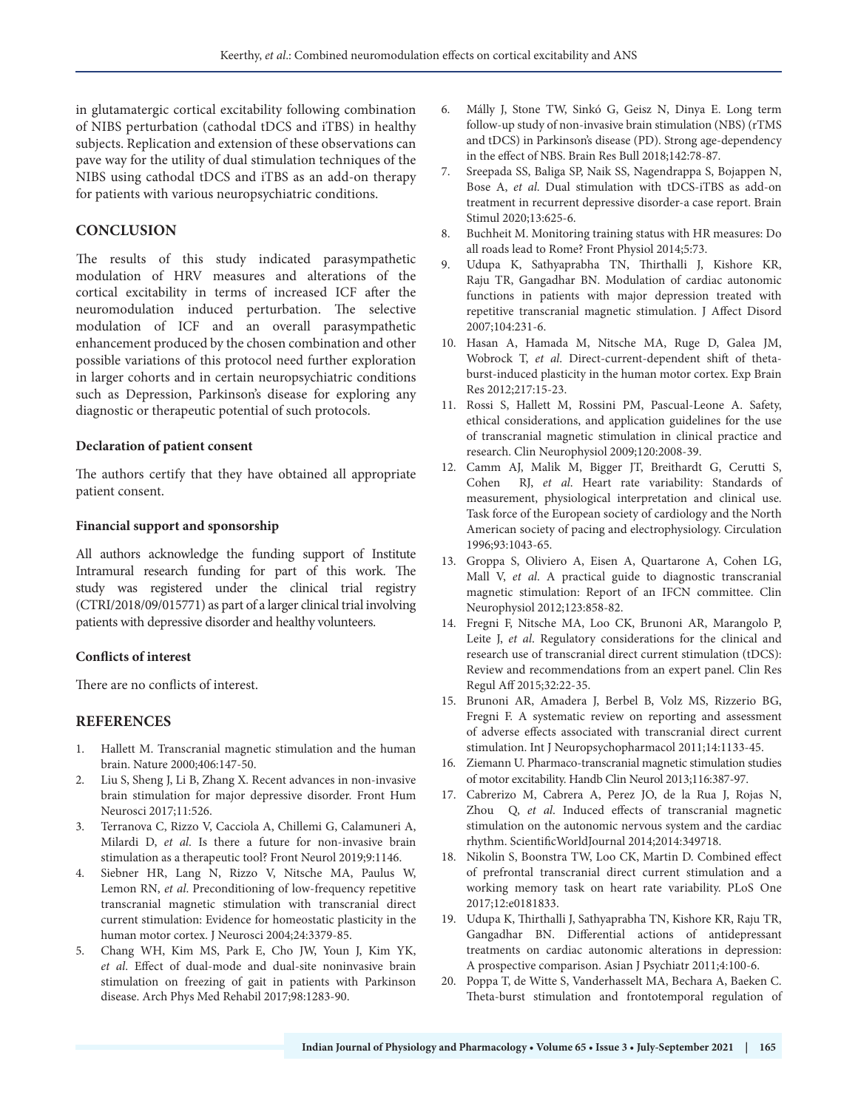in glutamatergic cortical excitability following combination of NIBS perturbation (cathodal tDCS and iTBS) in healthy subjects. Replication and extension of these observations can pave way for the utility of dual stimulation techniques of the NIBS using cathodal tDCS and iTBS as an add-on therapy for patients with various neuropsychiatric conditions.

## **CONCLUSION**

The results of this study indicated parasympathetic modulation of HRV measures and alterations of the cortical excitability in terms of increased ICF after the neuromodulation induced perturbation. The selective modulation of ICF and an overall parasympathetic enhancement produced by the chosen combination and other possible variations of this protocol need further exploration in larger cohorts and in certain neuropsychiatric conditions such as Depression, Parkinson's disease for exploring any diagnostic or therapeutic potential of such protocols.

#### **Declaration of patient consent**

The authors certify that they have obtained all appropriate patient consent.

#### **Financial support and sponsorship**

All authors acknowledge the funding support of Institute Intramural research funding for part of this work. The study was registered under the clinical trial registry (CTRI/2018/09/015771) as part of a larger clinical trial involving patients with depressive disorder and healthy volunteers.

#### **Conflicts of interest**

There are no conflicts of interest.

#### **REFERENCES**

- 1. Hallett M. Transcranial magnetic stimulation and the human brain. Nature 2000;406:147-50.
- 2. Liu S, Sheng J, Li B, Zhang X. Recent advances in non-invasive brain stimulation for major depressive disorder. Front Hum Neurosci 2017;11:526.
- 3. Terranova C, Rizzo V, Cacciola A, Chillemi G, Calamuneri A, Milardi D, *et al*. Is there a future for non-invasive brain stimulation as a therapeutic tool? Front Neurol 2019;9:1146.
- 4. Siebner HR, Lang N, Rizzo V, Nitsche MA, Paulus W, Lemon RN, *et al*. Preconditioning of low-frequency repetitive transcranial magnetic stimulation with transcranial direct current stimulation: Evidence for homeostatic plasticity in the human motor cortex. J Neurosci 2004;24:3379-85.
- 5. Chang WH, Kim MS, Park E, Cho JW, Youn J, Kim YK, *et al*. Effect of dual-mode and dual-site noninvasive brain stimulation on freezing of gait in patients with Parkinson disease. Arch Phys Med Rehabil 2017;98:1283-90.
- 6. Málly J, Stone TW, Sinkó G, Geisz N, Dinya E. Long term follow-up study of non-invasive brain stimulation (NBS) (rTMS and tDCS) in Parkinson's disease (PD). Strong age-dependency in the effect of NBS. Brain Res Bull 2018;142:78-87.
- 7. Sreepada SS, Baliga SP, Naik SS, Nagendrappa S, Bojappen N, Bose A, *et al*. Dual stimulation with tDCS-iTBS as add-on treatment in recurrent depressive disorder-a case report. Brain Stimul 2020;13:625-6.
- 8. Buchheit M. Monitoring training status with HR measures: Do all roads lead to Rome? Front Physiol 2014;5:73.
- 9. Udupa K, Sathyaprabha TN, Thirthalli J, Kishore KR, Raju TR, Gangadhar BN. Modulation of cardiac autonomic functions in patients with major depression treated with repetitive transcranial magnetic stimulation. J Affect Disord 2007;104:231-6.
- 10. Hasan A, Hamada M, Nitsche MA, Ruge D, Galea JM, Wobrock T, *et al*. Direct-current-dependent shift of thetaburst-induced plasticity in the human motor cortex. Exp Brain Res 2012;217:15-23.
- 11. Rossi S, Hallett M, Rossini PM, Pascual-Leone A. Safety, ethical considerations, and application guidelines for the use of transcranial magnetic stimulation in clinical practice and research. Clin Neurophysiol 2009;120:2008-39.
- 12. Camm AJ, Malik M, Bigger JT, Breithardt G, Cerutti S, Cohen RJ, *et al*. Heart rate variability: Standards of measurement, physiological interpretation and clinical use. Task force of the European society of cardiology and the North American society of pacing and electrophysiology. Circulation 1996;93:1043-65.
- 13. Groppa S, Oliviero A, Eisen A, Quartarone A, Cohen LG, Mall V, *et al*. A practical guide to diagnostic transcranial magnetic stimulation: Report of an IFCN committee. Clin Neurophysiol 2012;123:858-82.
- 14. Fregni F, Nitsche MA, Loo CK, Brunoni AR, Marangolo P, Leite J, *et al*. Regulatory considerations for the clinical and research use of transcranial direct current stimulation (tDCS): Review and recommendations from an expert panel. Clin Res Regul Aff 2015;32:22-35.
- 15. Brunoni AR, Amadera J, Berbel B, Volz MS, Rizzerio BG, Fregni F. A systematic review on reporting and assessment of adverse effects associated with transcranial direct current stimulation. Int J Neuropsychopharmacol 2011;14:1133-45.
- 16. Ziemann U. Pharmaco-transcranial magnetic stimulation studies of motor excitability. Handb Clin Neurol 2013;116:387-97.
- 17. Cabrerizo M, Cabrera A, Perez JO, de la Rua J, Rojas N, Zhou Q, *et al*. Induced effects of transcranial magnetic stimulation on the autonomic nervous system and the cardiac rhythm. ScientificWorldJournal 2014;2014:349718.
- 18. Nikolin S, Boonstra TW, Loo CK, Martin D. Combined effect of prefrontal transcranial direct current stimulation and a working memory task on heart rate variability. PLoS One 2017;12:e0181833.
- 19. Udupa K, Thirthalli J, Sathyaprabha TN, Kishore KR, Raju TR, Gangadhar BN. Differential actions of antidepressant treatments on cardiac autonomic alterations in depression: A prospective comparison. Asian J Psychiatr 2011;4:100-6.
- 20. Poppa T, de Witte S, Vanderhasselt MA, Bechara A, Baeken C. Theta-burst stimulation and frontotemporal regulation of